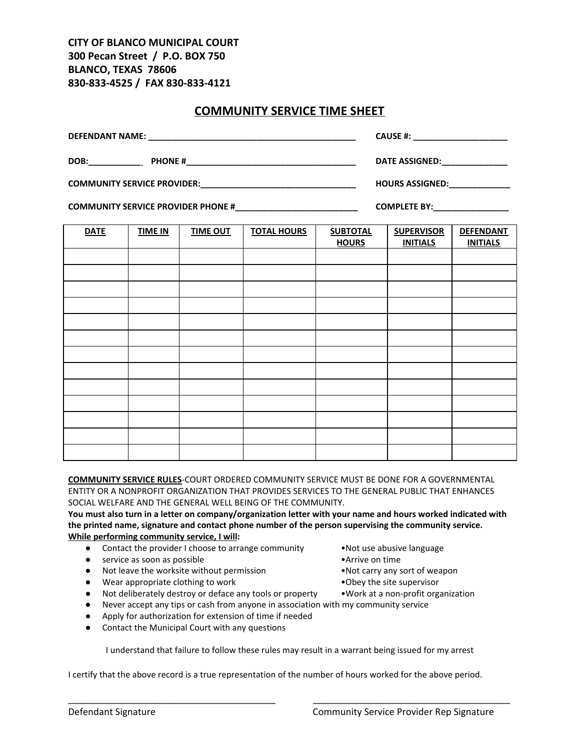**CITY OF BLANCO MUNICIPAL COURT 300 Pecan Street / P.O. BOX 750 BLANCO, TEXAS 78606 830-833-4525 / FAX 830-833-4121**

## **COMMUNITY SERVICE TIME SHEET**

|             |                |                 | CAUSE #: ________________________ |                 |                   |                  |
|-------------|----------------|-----------------|-----------------------------------|-----------------|-------------------|------------------|
|             |                |                 | DATE ASSIGNED: ______________     |                 |                   |                  |
|             |                |                 | HOURS ASSIGNED: _____________     |                 |                   |                  |
|             |                |                 | COMPLETE BY:__________________    |                 |                   |                  |
| <b>DATE</b> | <b>TIME IN</b> | <b>TIME OUT</b> | <b>TOTAL HOURS</b>                | <b>SUBTOTAL</b> | <b>SUPERVISOR</b> | <b>DEFENDANT</b> |
|             |                |                 |                                   | <b>HOURS</b>    | <b>INITIALS</b>   | <b>INITIALS</b>  |
|             |                |                 |                                   |                 |                   |                  |
|             |                |                 |                                   |                 |                   |                  |
|             |                |                 |                                   |                 |                   |                  |
|             |                |                 |                                   |                 |                   |                  |
|             |                |                 |                                   |                 |                   |                  |
|             |                |                 |                                   |                 |                   |                  |

**COMMUNITY SERVICE RULES**-COURT ORDERED COMMUNITY SERVICE MUST BE DONE FOR A GOVERNMENTAL ENTITY OR A NONPROFIT ORGANIZATION THAT PROVIDES SERVICES TO THE GENERAL PUBLIC THAT ENHANCES SOCIAL WELFARE AND THE GENERAL WELL BEING OF THE COMMUNITY.

You must also turn in a letter on company/organization letter with your name and hours worked indicated with **the printed name, signature and contact phone number of the person supervising the community service. While performing community service, I will:**

- Contact the provider I choose to arrange community •Not use abusive language
- **•** service as soon as possible **•**Arrive on time
- Not leave the worksite without permission •Not carry any sort of weapon
- Wear appropriate clothing to work •Obey the site supervisor
- Not deliberately destroy or deface any tools or property Work at a non-profit organization
- Never accept any tips or cash from anyone in association with my community service
- Apply for authorization for extension of time if needed
- Contact the Municipal Court with any questions

I understand that failure to follow these rules may result in a warrant being issued for my arrest

\_\_\_\_\_\_\_\_\_\_\_\_\_\_\_\_\_\_\_\_\_\_\_\_\_\_\_\_\_\_\_\_\_\_\_\_\_\_\_\_ \_\_\_\_\_\_\_\_\_\_\_\_\_\_\_\_\_\_\_\_\_\_\_\_\_\_\_\_\_\_\_\_\_\_\_\_\_\_

I certify that the above record is a true representation of the number of hours worked for the above period.

- 
- 
- 
- 
- 
-